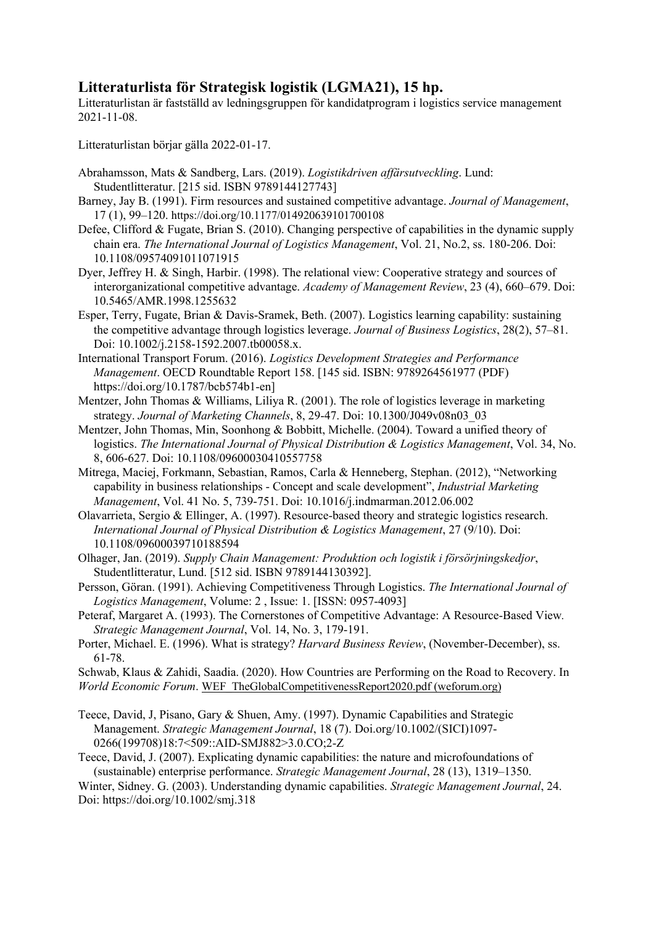## **Litteraturlista för Strategisk logistik (LGMA21), 15 hp.**

Litteraturlistan är fastställd av ledningsgruppen för kandidatprogram i logistics service management 2021-11-08.

Litteraturlistan börjar gälla 2022-01-17.

- Abrahamsson, Mats & Sandberg, Lars. (2019). *Logistikdriven affärsutveckling*. Lund: Studentlitteratur. [215 sid. ISBN 9789144127743]
- Barney, Jay B. (1991). Firm resources and sustained competitive advantage. *Journal of Management*, 17 (1), 99–120. https://doi.org/10.1177/014920639101700108
- Defee, Clifford & Fugate, Brian S. (2010). Changing perspective of capabilities in the dynamic supply chain era. *The International Journal of Logistics Management*, Vol. 21, No.2, ss. 180-206. Doi: 10.1108/09574091011071915
- Dyer, Jeffrey H. & Singh, Harbir. (1998). The relational view: Cooperative strategy and sources of interorganizational competitive advantage. *Academy of Management Review*, 23 (4), 660–679. Doi: 10.5465/AMR.1998.1255632
- Esper, Terry, Fugate, Brian & Davis-Sramek, Beth. (2007). Logistics learning capability: sustaining the competitive advantage through logistics leverage. *Journal of Business Logistics*, 28(2), 57–81. Doi: 10.1002/j.2158-1592.2007.tb00058.x.
- International Transport Forum. (2016). *Logistics Development Strategies and Performance Management*. OECD Roundtable Report 158. [145 sid. ISBN: 9789264561977 (PDF) https://doi.org/10.1787/bcb574b1-en]
- Mentzer, John Thomas & Williams, Liliya R. (2001). The role of logistics leverage in marketing strategy. *Journal of Marketing Channels*, 8, 29-47. Doi: 10.1300/J049v08n03\_03
- Mentzer, John Thomas, Min, Soonhong & Bobbitt, Michelle. (2004). Toward a unified theory of logistics. *The International Journal of Physical Distribution & Logistics Management*, Vol. 34, No. 8, 606-627. Doi: 10.1108/09600030410557758
- Mitrega, Maciej, Forkmann, Sebastian, Ramos, Carla & Henneberg, Stephan. (2012), "Networking capability in business relationships - Concept and scale development", *Industrial Marketing Management*, Vol. 41 No. 5, 739-751. Doi: 10.1016/j.indmarman.2012.06.002
- Olavarrieta, Sergio & Ellinger, A. (1997). Resource-based theory and strategic logistics research. *International Journal of Physical Distribution & Logistics Management*, 27 (9/10). Doi: 10.1108/09600039710188594
- Olhager, Jan. (2019). *Supply Chain Management: Produktion och logistik i försörjningskedjor*, Studentlitteratur, Lund. [512 sid. ISBN 9789144130392].
- Persson, Göran. (1991). Achieving Competitiveness Through Logistics. *The International Journal of Logistics Management*, Volume: 2 , Issue: 1. [ISSN: 0957-4093]
- Peteraf, Margaret A. (1993). The Cornerstones of Competitive Advantage: A Resource-Based View*. Strategic Management Journal*, Vol. 14, No. 3, 179-191.
- Porter, Michael. E. (1996). What is strategy? *Harvard Business Review*, (November-December), ss. 61-78.

Schwab, Klaus & Zahidi, Saadia. (2020). How Countries are Performing on the Road to Recovery. In *World Economic Forum*. WEF\_TheGlobalCompetitivenessReport2020.pdf (weforum.org)

- Teece, David, J, Pisano, Gary & Shuen, Amy. (1997). Dynamic Capabilities and Strategic Management. *Strategic Management Journal*, 18 (7). Doi.org/10.1002/(SICI)1097- 0266(199708)18:7<509::AID-SMJ882>3.0.CO;2-Z
- Teece, David, J. (2007). Explicating dynamic capabilities: the nature and microfoundations of (sustainable) enterprise performance. *Strategic Management Journal*, 28 (13), 1319–1350.

Winter, Sidney. G. (2003). Understanding dynamic capabilities. *Strategic Management Journal*, 24. Doi: https://doi.org/10.1002/smj.318